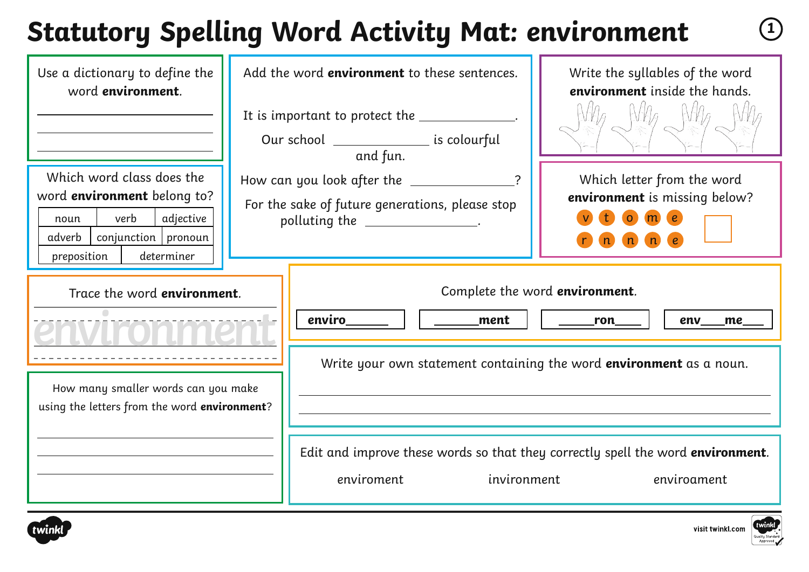# **Statutory Spelling Word Activity Mat: environment <sup>1</sup>**

| Use a dictionary to define the<br>word environment.                                                                                                          | Add the word <b>environment</b> to these sentences.<br>Our school ____________________ is colourful                                          | Write the syllables of the word<br>environment inside the hands.                                                                                                                                                                   |
|--------------------------------------------------------------------------------------------------------------------------------------------------------------|----------------------------------------------------------------------------------------------------------------------------------------------|------------------------------------------------------------------------------------------------------------------------------------------------------------------------------------------------------------------------------------|
| Which word class does the<br>word <b>environment</b> belong to?<br>verb<br>adjective<br>noun<br>conjunction   pronoun<br>adverb<br>determiner<br>preposition | and fun.<br>How can you look after the ______________?<br>For the sake of future generations, please stop<br>polluting the ________________. | Which letter from the word<br>environment is missing below?<br>$\overline{O}$<br>n<br>$\blacksquare$                                                                                                                               |
| Trace the word environment.<br>How many smaller words can you make<br>using the letters from the word environment?                                           | enviro<br>ment<br>invironment<br>enviroment                                                                                                  | Complete the word environment.<br>ron<br>env<br>me<br>Write your own statement containing the word <b>environment</b> as a noun.<br>Edit and improve these words so that they correctly spell the word environment.<br>enviroament |



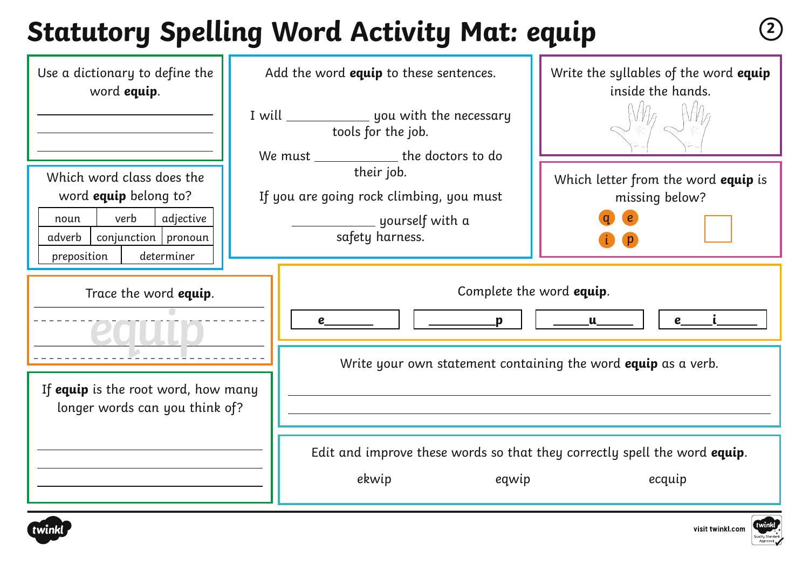## **Statutory Spelling Word Activity Mat: equip <sup>2</sup>**

| Use a dictionary to define the<br>word equip.                                                                                                     | Add the word equip to these sentences.<br>I will vill vill you with the necessary<br>tools for the job.<br>We must ______________ the doctors to do | Write the syllables of the word equip<br>inside the hands.       |
|---------------------------------------------------------------------------------------------------------------------------------------------------|-----------------------------------------------------------------------------------------------------------------------------------------------------|------------------------------------------------------------------|
| Which word class does the<br>word equip belong to?<br>verb<br>adjective<br>noun<br>$conjunction$   pronoun<br>adverb<br>determiner<br>preposition | their job.<br>If you are going rock climbing, you must<br>_____ yourself with a<br>safety harness.                                                  | Which letter from the word equip is<br>missing below?            |
| Trace the word equip.                                                                                                                             | Complete the word equip.<br>$\mathbf{p}$<br>e<br>Write your own statement containing the word equip as a verb.                                      | $\underline{\qquad \qquad }$ u $\underline{\qquad \qquad }$<br>e |
| If equip is the root word, how many<br>longer words can you think of?                                                                             | Edit and improve these words so that they correctly spell the word equip.<br>ekwip<br>eqwip                                                         | ecquip                                                           |



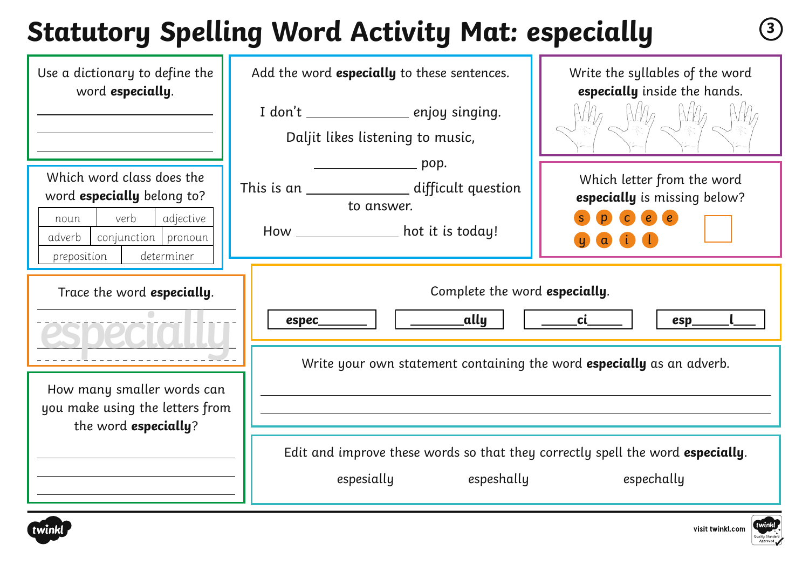# **Statutory Spelling Word Activity Mat: especially <sup>3</sup>**

| Use a dictionary to define the<br>word especially.                                                                                                 | Add the word especially to these sentences.<br>I don't __________________ enjoy singing.<br>Daljit likes listening to music,                 | Write the syllables of the word<br>especially inside the hands.                       |
|----------------------------------------------------------------------------------------------------------------------------------------------------|----------------------------------------------------------------------------------------------------------------------------------------------|---------------------------------------------------------------------------------------|
| Which word class does the<br>word especially belong to?<br>verb<br>adjective<br>noun<br>adverb<br>conjunction pronoun<br>determiner<br>preposition | <u>прорествование проре</u><br>This is an ________________ difficult question<br>to answer.<br>How _____________________ hot it is today!    | Which letter from the word<br>especially is missing below?<br>p c e e<br><b>a i i</b> |
| Trace the word especially.                                                                                                                         | Complete the word especially.<br>$\rule{1em}{0.15mm}$ ally<br>espec<br>Write your own statement containing the word especially as an adverb. | <b>Ci</b><br>esp                                                                      |
| How many smaller words can<br>you make using the letters from<br>the word especially?                                                              |                                                                                                                                              |                                                                                       |
|                                                                                                                                                    | Edit and improve these words so that they correctly spell the word especially.<br>espeshally<br>espesially                                   | espechally                                                                            |



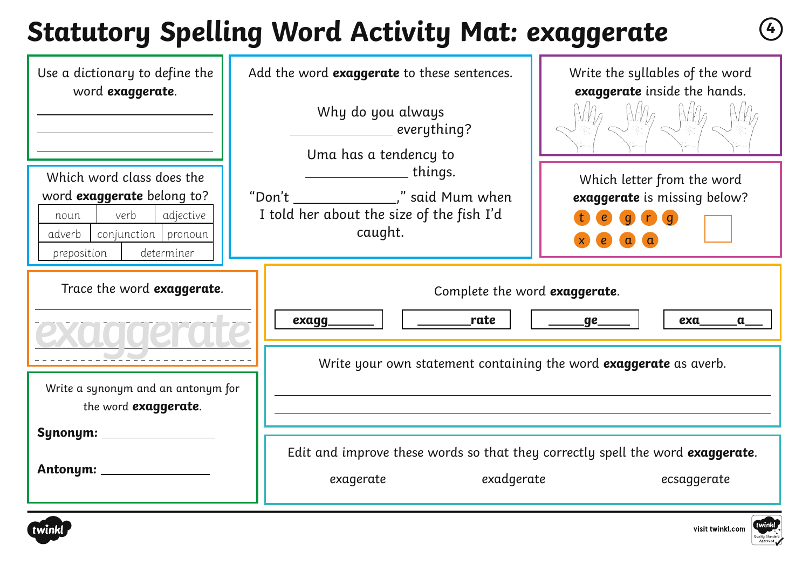## **Statutory Spelling Word Activity Mat: exaggerate <sup>4</sup>**

| Use a dictionary to define the<br>word exaggerate.                                                                                                 | Add the word exaggerate to these sentences.<br>Why do you always<br>__________ everything?<br>Uma has a tendency to                | Write the syllables of the word<br>exaggerate inside the hands.                                             |
|----------------------------------------------------------------------------------------------------------------------------------------------------|------------------------------------------------------------------------------------------------------------------------------------|-------------------------------------------------------------------------------------------------------------|
| Which word class does the<br>word exaggerate belong to?<br>verb<br>adjective<br>noun<br>conjunction pronoun<br>adverb<br>preposition<br>determiner | <u>_______________</u> things.<br>"Don't _________________," said Mum when<br>I told her about the size of the fish I'd<br>caught. | Which letter from the word<br>exaggerate is missing below?<br>q n a<br>$\epsilon$<br>$\alpha$<br>$\epsilon$ |
| Trace the word exaggerate.                                                                                                                         | Complete the word exaggerate.<br>rate<br>exagg                                                                                     | <u>___ge_</u><br>exa<br>$\mathbf{a}$                                                                        |
| Write a synonym and an antonym for<br>the word exaggerate.                                                                                         | Write your own statement containing the word exaggerate as averb.                                                                  |                                                                                                             |
| Synonym: __________<br>Antonym: ___________                                                                                                        | Edit and improve these words so that they correctly spell the word exaggerate.<br>exadgerate<br>exagerate                          | ecsaggerate                                                                                                 |